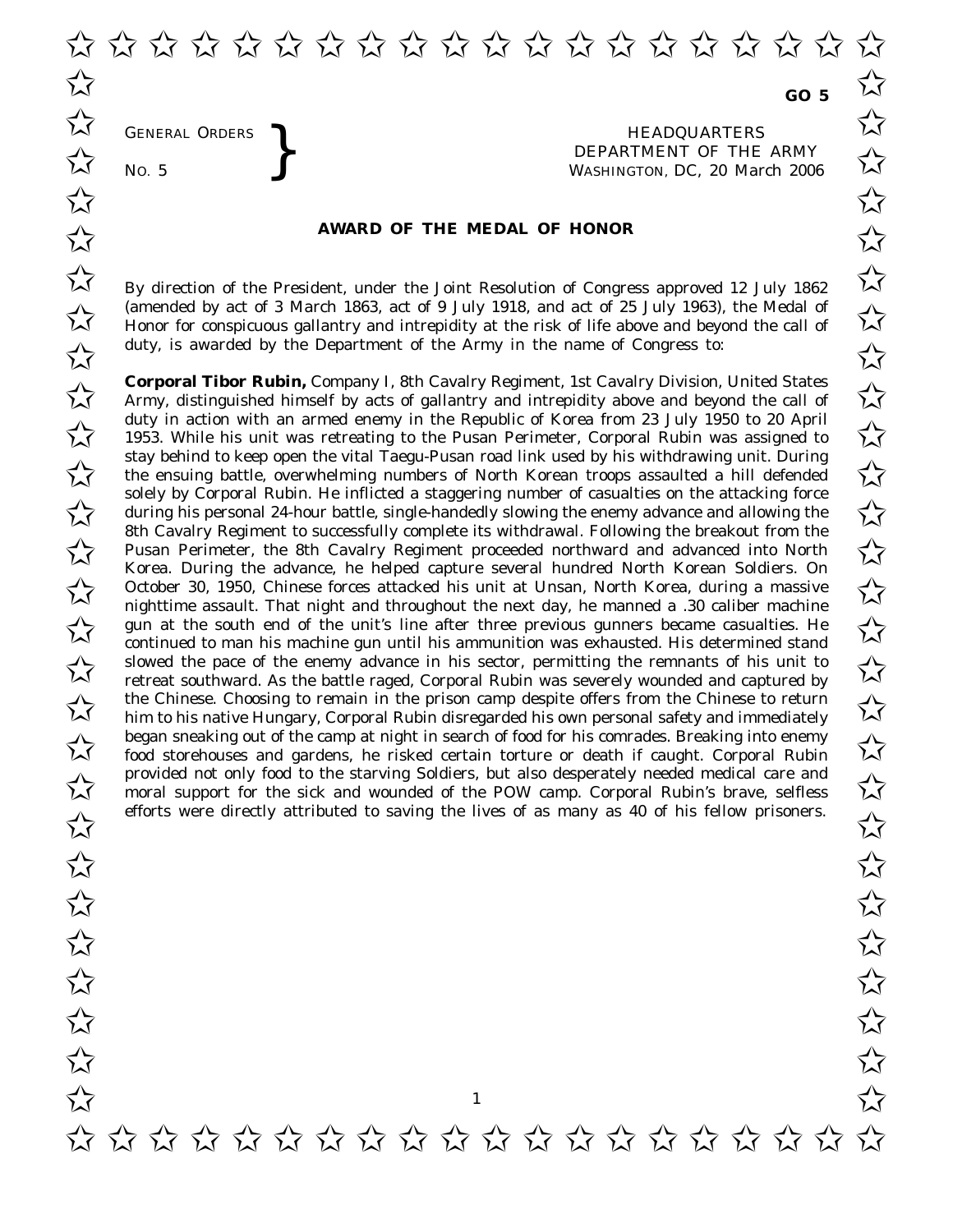GENERAL ORDERS **BEAUTE ARE SERVICE AS A SEXUAL THE SERVICE OF THE SERVICE ASSESS** THE WASHINGTON, DC, 20 Mar No. 5 DEPARTMENT OF THE ARMY<br>No. 5 WASHINGTON, DC. 20 March 2006 WASHINGTON, DC, *20 March 2006*

## **AWARD OF THE MEDAL OF HONOR**

 $\overline{\mathcal{M}}$  By direction of the President, under the Joint Resolution of Congress approved 12 July 1862 (amended by act of 3 March 1863, act of 9 July 1918, and act of 25 July 1963), the Medal of <br>
Honor for conspicuous gallantry and intrepidity at the risk of life above and beyond the call of Honor for conspicuous gallantry and intrepidity at the risk of life above and beyond the call of duty, is awarded by the Department of the Army in the name of Congress to:

**Corporal Tibor Rubin,** Company I, 8th Cavalry Regiment, 1st Cavalry Division, United States **Corporal Tibor Rubin,** Company I, 8th Cavalry Regiment, 1st Cavalry Division, United States<br>Army, distinguished himself by acts of gallantry and intrepidity above and beyond the call of duty in action with an armed enemy in the Republic of Korea from 23 July 1950 to 20 April<br>1953. While his unit was retreating to the Pusan Perimeter, Corporal Rubin was assigned to 1953. While his unit was retreating to the Pusan Perimeter, Corporal Rubin was assigned to stay behind to keep open the vital Taegu-Pusan road link used by his withdrawing unit. During<br>the ensuing battle, overwhelming numbers of North Korean troops assaulted a hill defended the ensuing battle, overwhelming numbers of North Korean troops assaulted a hill defended solely by Corporal Rubin. He inflicted a staggering number of casualties on the attacking force solely by Corporal Rubin. He inflicted a staggering number of casualties on the attacking force<br>during his personal 24-hour battle, single-handedly slowing the enemy advance and allowing the 8th Cavalry Regiment to successfully complete its withdrawal. Following the breakout from the 8th Cavalry Regiment to successfully complete its withdrawal. Following the breakout from the<br>Pusan Perimeter, the 8th Cavalry Regiment proceeded northward and advanced into North Korea. During the advance, he helped capture several hundred North Korean Soldiers. On Rorea. During the advance, he helped capture several nundred North Korean Soldiers. On<br>
October 30, 1950, Chinese forces attacked his unit at Unsan, North Korea, during a massive nighttime assault. That night and throughout the next day, he manned a .30 caliber machine gun at the south end of the unit's line after three previous gunners became casualties. He<br>
separate the south end of the unit's line after three previous gunners became casualties. He<br>
separate three previous gunners bec continued to man his machine gun until his ammunition was exhausted. His determined stand slowed the pace of the enemy advance in his sector, permitting the remnants of his unit to  $\sim$ retreat southward. As the battle raged, Corporal Rubin was severely wounded and captured by  $\overline{\mathcal{A}}$  the Chinese. Choosing to remain in the prison camp despite offers from the Chinese to return him to his native Hungary. Corporal Rubin disregarded his own personal safety and immediately him to his native Hungary, Corporal Rubin disregarded his own personal safety and immediately began sneaking out of the camp at night in search of food for his comrades. Breaking into enemy<br>  $\overrightarrow{\lambda}$  food storehouses and gardens, he risked certain torture or death if caught. Corporal Rubin food storehouses and gardens, he risked certain torture or death if caught. Corporal Rubin provided not only food to the starving Soldiers, but also desperately needed medical care and<br>
The moral support for the sick and wounded of the POW camp. Corporal Rubin's brave, selfless moral support for the sick and wounded of the POW camp. Corporal Rubin's brave, selfless efforts were directly attributed to saving the lives of as many as 40 of his fellow prisoners.

✩ ✩ ✩ ✩ ✩ ✩ ✩ ✩ ✩ ✩ ✩ ✩ ✩ ✩ ✩ ✩ ✩ ✩ ✩ ✩

1